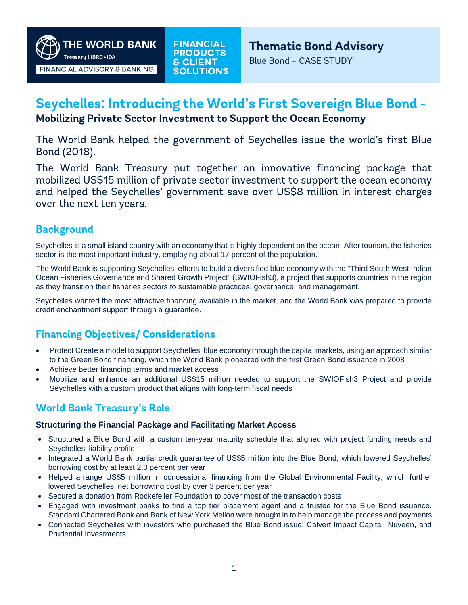**THE WORLD BANK** Treasury | IBRD . IDA FINANCIAL ADVISORY & BANKING

# **Seychelles: Introducing the World's First Sovereign Blue Bond -**

#### **Mobilizing Private Sector Investment to Support the Ocean Economy**

The World Bank helped the government of Seychelles issue the world's first Blue Bond (2018).

The World Bank Treasury put together an innovative financing package that mobilized US\$15 million of private sector investment to support the ocean economy and helped the Seychelles' government save over US\$8 million in interest charges over the next ten years.

### **Background**

Seychelles is a small island country with an economy that is highly dependent on the ocean. After tourism, the fisheries sector is the most important industry, employing about 17 percent of the population.

The World Bank is supporting Seychelles' efforts to build a diversified blue economy with the "Third South West Indian Ocean Fisheries Governance and Shared Growth Project" (SWIOFish3), a project that supports countries in the region as they transition their fisheries sectors to sustainable practices, governance, and management.

Seychelles wanted the most attractive financing available in the market, and the World Bank was prepared to provide credit enchantment support through a guarantee.

## **Financing Objectives/ Considerations**

- Protect Create a model to support Seychelles' blue economy through the capital markets, using an approach similar to the Green Bond financing, which the World Bank pioneered with the first Green Bond issuance in 2008
- Achieve better financing terms and market access
- Mobilize and enhance an additional US\$15 million needed to support the SWIOFish3 Project and provide Seychelles with a custom product that aligns with long-term fiscal needs

## **World Bank Treasury's Role**

#### **Structuring the Financial Package and Facilitating Market Access**

- Structured a Blue Bond with a custom ten-year maturity schedule that aligned with project funding needs and Seychelles' liability profile
- Integrated a World Bank partial credit guarantee of US\$5 million into the Blue Bond, which lowered Seychelles' borrowing cost by at least 2.0 percent per year
- Helped arrange US\$5 million in concessional financing from the Global Environmental Facility, which further lowered Seychelles' net borrowing cost by over 3 percent per year
- Secured a donation from Rockefeller Foundation to cover most of the transaction costs
- Engaged with investment banks to find a top tier placement agent and a trustee for the Blue Bond issuance. Standard Chartered Bank and Bank of New York Mellon were brought in to help manage the process and payments
- Connected Seychelles with investors who purchased the Blue Bond issue: Calvert Impact Capital, Nuveen, and Prudential Investments